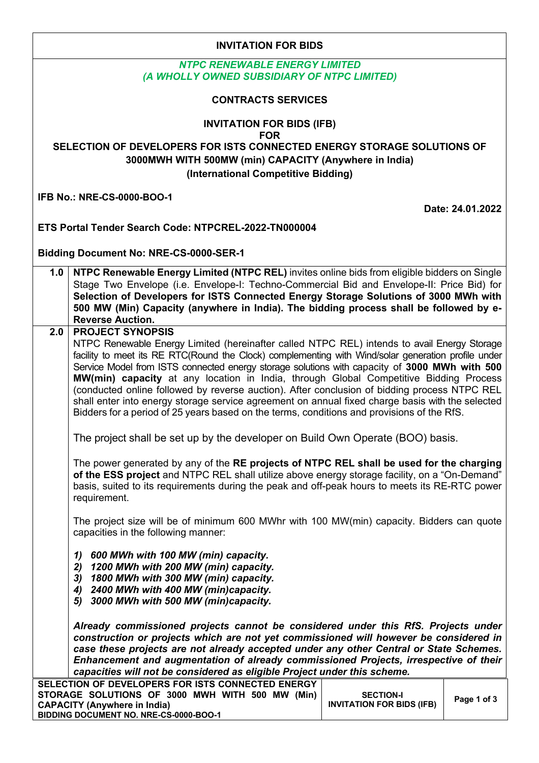| <b>INVITATION FOR BIDS</b>                                                                                                                                                                                                                                   |                                                                                                                                                                                                                                                                                                                                                                                                                                                                                                                                                                                                                                                                                                                           |  |  |  |  |  |  |
|--------------------------------------------------------------------------------------------------------------------------------------------------------------------------------------------------------------------------------------------------------------|---------------------------------------------------------------------------------------------------------------------------------------------------------------------------------------------------------------------------------------------------------------------------------------------------------------------------------------------------------------------------------------------------------------------------------------------------------------------------------------------------------------------------------------------------------------------------------------------------------------------------------------------------------------------------------------------------------------------------|--|--|--|--|--|--|
| <b>NTPC RENEWABLE ENERGY LIMITED</b><br>(A WHOLLY OWNED SUBSIDIARY OF NTPC LIMITED)                                                                                                                                                                          |                                                                                                                                                                                                                                                                                                                                                                                                                                                                                                                                                                                                                                                                                                                           |  |  |  |  |  |  |
| <b>CONTRACTS SERVICES</b>                                                                                                                                                                                                                                    |                                                                                                                                                                                                                                                                                                                                                                                                                                                                                                                                                                                                                                                                                                                           |  |  |  |  |  |  |
| <b>INVITATION FOR BIDS (IFB)</b><br><b>FOR</b><br>SELECTION OF DEVELOPERS FOR ISTS CONNECTED ENERGY STORAGE SOLUTIONS OF<br>3000MWH WITH 500MW (min) CAPACITY (Anywhere in India)<br>(International Competitive Bidding)                                     |                                                                                                                                                                                                                                                                                                                                                                                                                                                                                                                                                                                                                                                                                                                           |  |  |  |  |  |  |
| <b>IFB No.: NRE-CS-0000-BOO-1</b><br>Date: 24.01.2022                                                                                                                                                                                                        |                                                                                                                                                                                                                                                                                                                                                                                                                                                                                                                                                                                                                                                                                                                           |  |  |  |  |  |  |
|                                                                                                                                                                                                                                                              | ETS Portal Tender Search Code: NTPCREL-2022-TN000004                                                                                                                                                                                                                                                                                                                                                                                                                                                                                                                                                                                                                                                                      |  |  |  |  |  |  |
|                                                                                                                                                                                                                                                              | <b>Bidding Document No: NRE-CS-0000-SER-1</b>                                                                                                                                                                                                                                                                                                                                                                                                                                                                                                                                                                                                                                                                             |  |  |  |  |  |  |
|                                                                                                                                                                                                                                                              | NTPC Renewable Energy Limited (NTPC REL) invites online bids from eligible bidders on Single<br>1.0<br>Stage Two Envelope (i.e. Envelope-I: Techno-Commercial Bid and Envelope-II: Price Bid) for<br>Selection of Developers for ISTS Connected Energy Storage Solutions of 3000 MWh with<br>500 MW (Min) Capacity (anywhere in India). The bidding process shall be followed by e-<br><b>Reverse Auction.</b>                                                                                                                                                                                                                                                                                                            |  |  |  |  |  |  |
| 2.0                                                                                                                                                                                                                                                          | <b>PROJECT SYNOPSIS</b><br>NTPC Renewable Energy Limited (hereinafter called NTPC REL) intends to avail Energy Storage<br>facility to meet its RE RTC(Round the Clock) complementing with Wind/solar generation profile under<br>Service Model from ISTS connected energy storage solutions with capacity of 3000 MWh with 500<br>MW(min) capacity at any location in India, through Global Competitive Bidding Process<br>(conducted online followed by reverse auction). After conclusion of bidding process NTPC REL<br>shall enter into energy storage service agreement on annual fixed charge basis with the selected<br>Bidders for a period of 25 years based on the terms, conditions and provisions of the RfS. |  |  |  |  |  |  |
|                                                                                                                                                                                                                                                              | The project shall be set up by the developer on Build Own Operate (BOO) basis.                                                                                                                                                                                                                                                                                                                                                                                                                                                                                                                                                                                                                                            |  |  |  |  |  |  |
|                                                                                                                                                                                                                                                              | The power generated by any of the RE projects of NTPC REL shall be used for the charging<br>of the ESS project and NTPC REL shall utilize above energy storage facility, on a "On-Demand"<br>basis, suited to its requirements during the peak and off-peak hours to meets its RE-RTC power<br>requirement.                                                                                                                                                                                                                                                                                                                                                                                                               |  |  |  |  |  |  |
|                                                                                                                                                                                                                                                              | The project size will be of minimum 600 MWhr with 100 MW(min) capacity. Bidders can quote<br>capacities in the following manner:                                                                                                                                                                                                                                                                                                                                                                                                                                                                                                                                                                                          |  |  |  |  |  |  |
|                                                                                                                                                                                                                                                              | 600 MWh with 100 MW (min) capacity.<br>1)<br>2) 1200 MWh with 200 MW (min) capacity.<br>3) 1800 MWh with 300 MW (min) capacity.<br>4) 2400 MWh with 400 MW (min)capacity.<br>5) 3000 MWh with 500 MW (min)capacity.                                                                                                                                                                                                                                                                                                                                                                                                                                                                                                       |  |  |  |  |  |  |
|                                                                                                                                                                                                                                                              | Already commissioned projects cannot be considered under this RfS. Projects under<br>construction or projects which are not yet commissioned will however be considered in<br>case these projects are not already accepted under any other Central or State Schemes.<br>Enhancement and augmentation of already commissioned Projects, irrespective of their<br>capacities will not be considered as eligible Project under this scheme.                                                                                                                                                                                                                                                                                  |  |  |  |  |  |  |
| SELECTION OF DEVELOPERS FOR ISTS CONNECTED ENERGY<br>STORAGE SOLUTIONS OF 3000 MWH WITH 500 MW (Min)<br><b>SECTION-I</b><br>Page 1 of 3<br><b>INVITATION FOR BIDS (IFB)</b><br><b>CAPACITY (Anywhere in India)</b><br>BIDDING DOCUMENT NO. NRE-CS-0000-BOO-1 |                                                                                                                                                                                                                                                                                                                                                                                                                                                                                                                                                                                                                                                                                                                           |  |  |  |  |  |  |

٦

 $\overline{\phantom{a}}$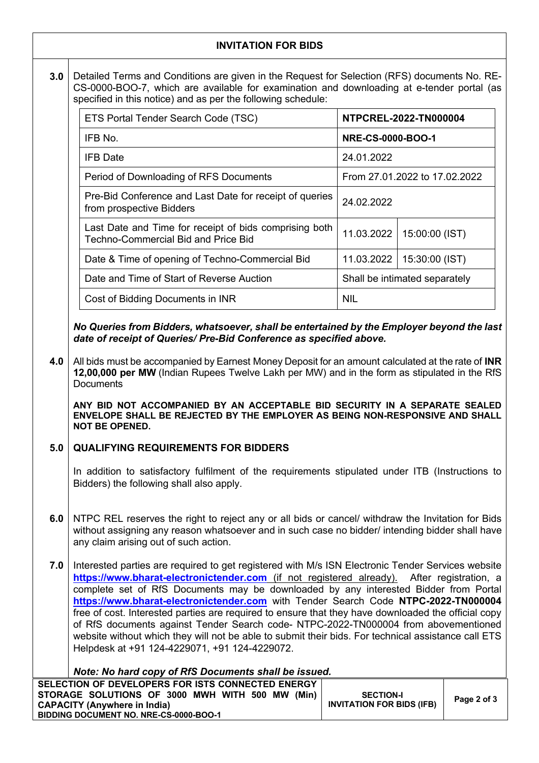|                                                                                                                                                                                                                                                              | <b>INVITATION FOR BIDS</b>                                                                                                                                                                                                                                                                                                                                                                                                                                                                                                                                                                                                                                                                                                                                                                 |            |                               |  |  |  |
|--------------------------------------------------------------------------------------------------------------------------------------------------------------------------------------------------------------------------------------------------------------|--------------------------------------------------------------------------------------------------------------------------------------------------------------------------------------------------------------------------------------------------------------------------------------------------------------------------------------------------------------------------------------------------------------------------------------------------------------------------------------------------------------------------------------------------------------------------------------------------------------------------------------------------------------------------------------------------------------------------------------------------------------------------------------------|------------|-------------------------------|--|--|--|
| 3.0                                                                                                                                                                                                                                                          | Detailed Terms and Conditions are given in the Request for Selection (RFS) documents No. RE-<br>CS-0000-BOO-7, which are available for examination and downloading at e-tender portal (as<br>specified in this notice) and as per the following schedule:                                                                                                                                                                                                                                                                                                                                                                                                                                                                                                                                  |            |                               |  |  |  |
|                                                                                                                                                                                                                                                              | ETS Portal Tender Search Code (TSC)                                                                                                                                                                                                                                                                                                                                                                                                                                                                                                                                                                                                                                                                                                                                                        |            | NTPCREL-2022-TN000004         |  |  |  |
|                                                                                                                                                                                                                                                              | IFB No.                                                                                                                                                                                                                                                                                                                                                                                                                                                                                                                                                                                                                                                                                                                                                                                    |            | <b>NRE-CS-0000-BOO-1</b>      |  |  |  |
|                                                                                                                                                                                                                                                              | <b>IFB Date</b>                                                                                                                                                                                                                                                                                                                                                                                                                                                                                                                                                                                                                                                                                                                                                                            | 24.01.2022 |                               |  |  |  |
|                                                                                                                                                                                                                                                              | Period of Downloading of RFS Documents                                                                                                                                                                                                                                                                                                                                                                                                                                                                                                                                                                                                                                                                                                                                                     |            | From 27.01.2022 to 17.02.2022 |  |  |  |
|                                                                                                                                                                                                                                                              | Pre-Bid Conference and Last Date for receipt of queries<br>from prospective Bidders                                                                                                                                                                                                                                                                                                                                                                                                                                                                                                                                                                                                                                                                                                        | 24.02.2022 |                               |  |  |  |
|                                                                                                                                                                                                                                                              | Last Date and Time for receipt of bids comprising both<br>Techno-Commercial Bid and Price Bid                                                                                                                                                                                                                                                                                                                                                                                                                                                                                                                                                                                                                                                                                              | 11.03.2022 | 15:00:00 (IST)                |  |  |  |
|                                                                                                                                                                                                                                                              | Date & Time of opening of Techno-Commercial Bid                                                                                                                                                                                                                                                                                                                                                                                                                                                                                                                                                                                                                                                                                                                                            | 11.03.2022 | 15:30:00 (IST)                |  |  |  |
|                                                                                                                                                                                                                                                              | Date and Time of Start of Reverse Auction                                                                                                                                                                                                                                                                                                                                                                                                                                                                                                                                                                                                                                                                                                                                                  |            | Shall be intimated separately |  |  |  |
|                                                                                                                                                                                                                                                              | Cost of Bidding Documents in INR                                                                                                                                                                                                                                                                                                                                                                                                                                                                                                                                                                                                                                                                                                                                                           | <b>NIL</b> |                               |  |  |  |
|                                                                                                                                                                                                                                                              | 12,00,000 per MW (Indian Rupees Twelve Lakh per MW) and in the form as stipulated in the RfS<br><b>Documents</b><br>ANY BID NOT ACCOMPANIED BY AN ACCEPTABLE BID SECURITY IN A SEPARATE SEALED<br>ENVELOPE SHALL BE REJECTED BY THE EMPLOYER AS BEING NON-RESPONSIVE AND SHALL<br><b>NOT BE OPENED.</b>                                                                                                                                                                                                                                                                                                                                                                                                                                                                                    |            |                               |  |  |  |
| 5.0                                                                                                                                                                                                                                                          | <b>QUALIFYING REQUIREMENTS FOR BIDDERS</b>                                                                                                                                                                                                                                                                                                                                                                                                                                                                                                                                                                                                                                                                                                                                                 |            |                               |  |  |  |
|                                                                                                                                                                                                                                                              | In addition to satisfactory fulfilment of the requirements stipulated under ITB (Instructions to<br>Bidders) the following shall also apply.                                                                                                                                                                                                                                                                                                                                                                                                                                                                                                                                                                                                                                               |            |                               |  |  |  |
| 6.0                                                                                                                                                                                                                                                          | NTPC REL reserves the right to reject any or all bids or cancel/ withdraw the Invitation for Bids<br>without assigning any reason whatsoever and in such case no bidder/ intending bidder shall have<br>any claim arising out of such action.                                                                                                                                                                                                                                                                                                                                                                                                                                                                                                                                              |            |                               |  |  |  |
| 7.0                                                                                                                                                                                                                                                          | Interested parties are required to get registered with M/s ISN Electronic Tender Services website<br>https://www.bharat-electronictender.com (if not registered already). After registration, a<br>complete set of RfS Documents may be downloaded by any interested Bidder from Portal<br>https://www.bharat-electronictender.com with Tender Search Code NTPC-2022-TN000004<br>free of cost. Interested parties are required to ensure that they have downloaded the official copy<br>of RfS documents against Tender Search code-NTPC-2022-TN000004 from abovementioned<br>website without which they will not be able to submit their bids. For technical assistance call ETS<br>Helpdesk at +91 124-4229071, +91 124-4229072.<br>Note: No hard copy of RfS Documents shall be issued. |            |                               |  |  |  |
| SELECTION OF DEVELOPERS FOR ISTS CONNECTED ENERGY<br>STORAGE SOLUTIONS OF 3000 MWH WITH 500 MW (Min)<br><b>SECTION-I</b><br>Page 2 of 3<br><b>INVITATION FOR BIDS (IFB)</b><br><b>CAPACITY (Anywhere in India)</b><br>BIDDING DOCUMENT NO. NRE-CS-0000-BOO-1 |                                                                                                                                                                                                                                                                                                                                                                                                                                                                                                                                                                                                                                                                                                                                                                                            |            |                               |  |  |  |